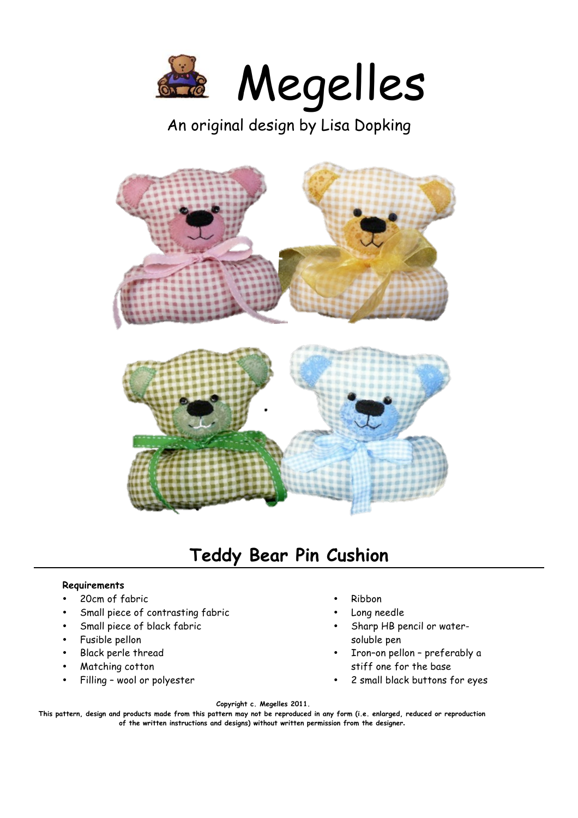

An original design by Lisa Dopking



## **Teddy Bear Pin Cushion**

## **Requirements**

- 20cm of fabric
- Small piece of contrasting fabric
- Small piece of black fabric
- Fusible pellon
- Black perle thread
- Matching cotton
- Filling wool or polyester
- Ribbon
- Long needle
- Sharp HB pencil or watersoluble pen
- Iron–on pellon preferably a stiff one for the base
- 2 small black buttons for eyes

**Copyright c. Megelles 2011.** 

**This pattern, design and products made from this pattern may not be reproduced in any form (i.e. enlarged, reduced or reproduction of the written instructions and designs) without written permission from the designer.**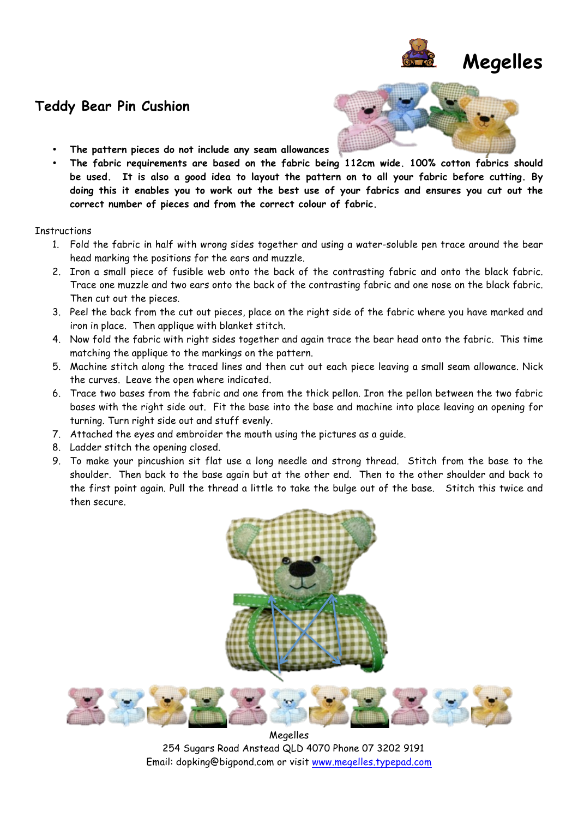

## **Teddy Bear Pin Cushion**



- **The pattern pieces do not include any seam allowances**
- **The fabric requirements are based on the fabric being 112cm wide. 100% cotton fabrics should be used. It is also a good idea to layout the pattern on to all your fabric before cutting. By doing this it enables you to work out the best use of your fabrics and ensures you cut out the correct number of pieces and from the correct colour of fabric.**

## **Instructions**

- 1. Fold the fabric in half with wrong sides together and using a water-soluble pen trace around the bear head marking the positions for the ears and muzzle.
- 2. Iron a small piece of fusible web onto the back of the contrasting fabric and onto the black fabric. Trace one muzzle and two ears onto the back of the contrasting fabric and one nose on the black fabric. Then cut out the pieces.
- 3. Peel the back from the cut out pieces, place on the right side of the fabric where you have marked and iron in place. Then applique with blanket stitch.
- 4. Now fold the fabric with right sides together and again trace the bear head onto the fabric. This time matching the applique to the markings on the pattern.
- 5. Machine stitch along the traced lines and then cut out each piece leaving a small seam allowance. Nick the curves. Leave the open where indicated.
- 6. Trace two bases from the fabric and one from the thick pellon. Iron the pellon between the two fabric bases with the right side out. Fit the base into the base and machine into place leaving an opening for turning. Turn right side out and stuff evenly.
- 7. Attached the eyes and embroider the mouth using the pictures as a guide.
- 8. Ladder stitch the opening closed.
- 9. To make your pincushion sit flat use a long needle and strong thread. Stitch from the base to the shoulder. Then back to the base again but at the other end. Then to the other shoulder and back to the first point again. Pull the thread a little to take the bulge out of the base. Stitch this twice and then secure.



Megelles 254 Sugars Road Anstead QLD 4070 Phone 07 3202 9191 Email: dopking@bigpond.com or visit www.megelles.typepad.com